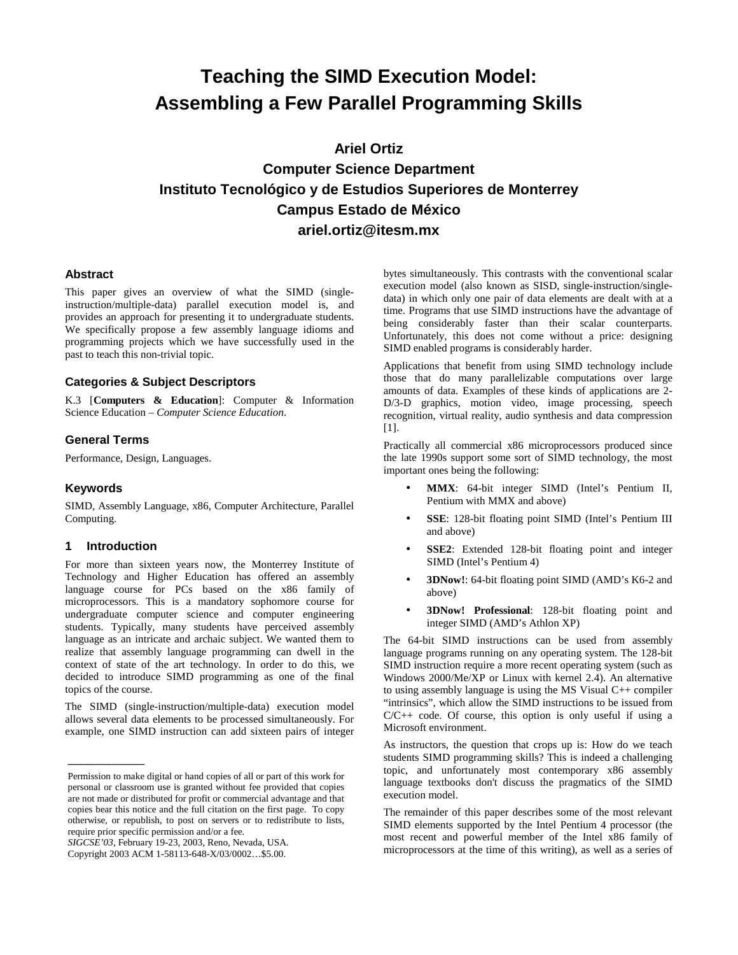# **Teaching the SIMD Execution Model: Assembling a Few Parallel Programming Skills**

**Ariel Ortiz** 

## **Computer Science Department Instituto Tecnológico y de Estudios Superiores de Monterrey Campus Estado de México ariel.ortiz@itesm.mx**

#### **Abstract**

This paper gives an overview of what the SIMD (singleinstruction/multiple-data) parallel execution model is, and provides an approach for presenting it to undergraduate students. We specifically propose a few assembly language idioms and programming projects which we have successfully used in the past to teach this non-trivial topic.

#### **Categories & Subject Descriptors**

K.3 [**Computers & Education**]: Computer & Information Science Education – *Computer Science Education*.

## **General Terms**

Performance, Design, Languages.

#### **Keywords**

SIMD, Assembly Language, x86, Computer Architecture, Parallel Computing.

#### **1 Introduction**

**\_\_\_\_\_\_\_\_\_\_\_\_\_\_**

For more than sixteen years now, the Monterrey Institute of Technology and Higher Education has offered an assembly language course for PCs based on the x86 family of microprocessors. This is a mandatory sophomore course for undergraduate computer science and computer engineering students. Typically, many students have perceived assembly language as an intricate and archaic subject. We wanted them to realize that assembly language programming can dwell in the context of state of the art technology. In order to do this, we decided to introduce SIMD programming as one of the final topics of the course.

The SIMD (single-instruction/multiple-data) execution model allows several data elements to be processed simultaneously. For example, one SIMD instruction can add sixteen pairs of integer

*SIGCSE'03,* February 19-23, 2003, Reno, Nevada, USA.

bytes simultaneously. This contrasts with the conventional scalar execution model (also known as SISD, single-instruction/singledata) in which only one pair of data elements are dealt with at a time. Programs that use SIMD instructions have the advantage of being considerably faster than their scalar counterparts. Unfortunately, this does not come without a price: designing SIMD enabled programs is considerably harder.

Applications that benefit from using SIMD technology include those that do many parallelizable computations over large amounts of data. Examples of these kinds of applications are 2- D/3-D graphics, motion video, image processing, speech recognition, virtual reality, audio synthesis and data compression [1].

Practically all commercial x86 microprocessors produced since the late 1990s support some sort of SIMD technology, the most important ones being the following:

- **MMX**: 64-bit integer SIMD (Intel's Pentium II, Pentium with MMX and above)
- **SSE**: 128-bit floating point SIMD (Intel's Pentium III and above)
- SSE2: Extended 128-bit floating point and integer SIMD (Intel's Pentium 4)
- **3DNow!**: 64-bit floating point SIMD (AMD's K6-2 and above)
- **3DNow! Professional**: 128-bit floating point and integer SIMD (AMD's Athlon XP)

The 64-bit SIMD instructions can be used from assembly language programs running on any operating system. The 128-bit SIMD instruction require a more recent operating system (such as Windows 2000/Me/XP or Linux with kernel 2.4). An alternative to using assembly language is using the MS Visual C++ compiler "intrinsics", which allow the SIMD instructions to be issued from  $C/C++$  code. Of course, this option is only useful if using a Microsoft environment.

As instructors, the question that crops up is: How do we teach students SIMD programming skills? This is indeed a challenging topic, and unfortunately most contemporary x86 assembly language textbooks don't discuss the pragmatics of the SIMD execution model.

The remainder of this paper describes some of the most relevant SIMD elements supported by the Intel Pentium 4 processor (the most recent and powerful member of the Intel x86 family of microprocessors at the time of this writing), as well as a series of

Permission to make digital or hand copies of all or part of this work for personal or classroom use is granted without fee provided that copies are not made or distributed for profit or commercial advantage and that copies bear this notice and the full citation on the first page. To copy otherwise, or republish, to post on servers or to redistribute to lists, require prior specific permission and/or a fee.

Copyright 2003 ACM 1-58113-648-X/03/0002…\$5.00.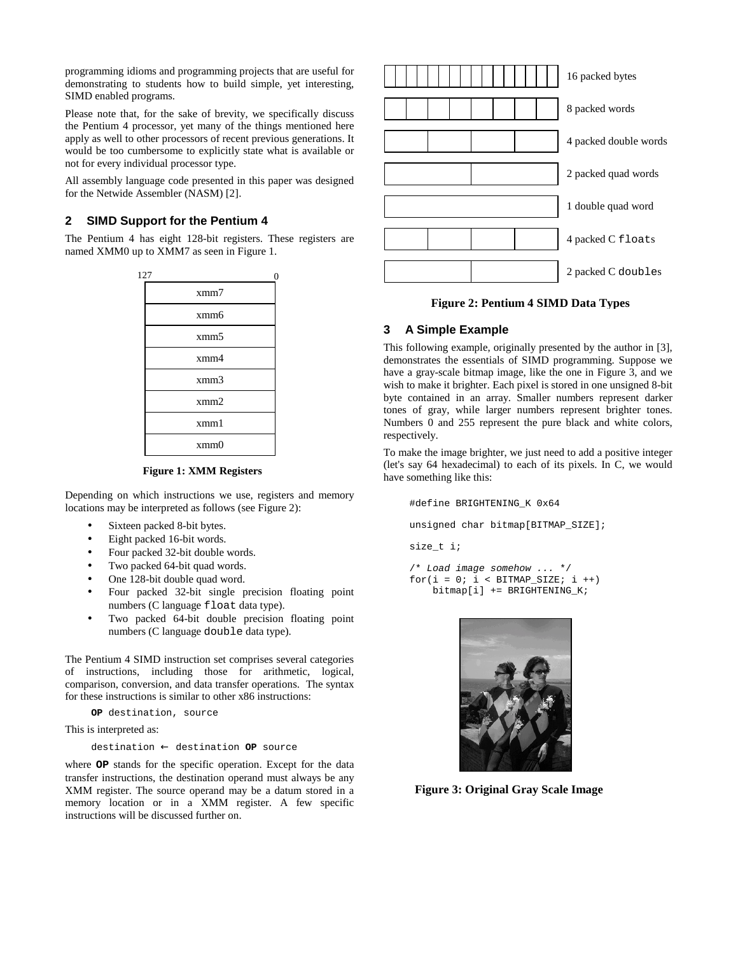programming idioms and programming projects that are useful for demonstrating to students how to build simple, yet interesting, SIMD enabled programs.

Please note that, for the sake of brevity, we specifically discuss the Pentium 4 processor, yet many of the things mentioned here apply as well to other processors of recent previous generations. It would be too cumbersome to explicitly state what is available or not for every individual processor type.

All assembly language code presented in this paper was designed for the Netwide Assembler (NASM) [2].

## **2 SIMD Support for the Pentium 4**

The Pentium 4 has eight 128-bit registers. These registers are named XMM0 up to XMM7 as seen in Figure 1.

| 127<br>0         |
|------------------|
| xmm7             |
| xmm <sub>6</sub> |
| xmm5             |
| xmm4             |
| xmm3             |
| xmm2             |
| xmm1             |
| xmm0             |
|                  |

#### **Figure 1: XMM Registers**

Depending on which instructions we use, registers and memory locations may be interpreted as follows (see Figure 2):

- Sixteen packed 8-bit bytes.
- Eight packed 16-bit words.
- Four packed 32-bit double words.
- Two packed 64-bit quad words.
- One 128-bit double quad word.
- Four packed 32-bit single precision floating point numbers (C language float data type).
- Two packed 64-bit double precision floating point numbers (C language double data type).

The Pentium 4 SIMD instruction set comprises several categories of instructions, including those for arithmetic, logical, comparison, conversion, and data transfer operations. The syntax for these instructions is similar to other x86 instructions:

**OP** destination, source

This is interpreted as:

destination ← destination **OP** source

where **OP** stands for the specific operation. Except for the data transfer instructions, the destination operand must always be any XMM register. The source operand may be a datum stored in a memory location or in a XMM register. A few specific instructions will be discussed further on.



#### **Figure 2: Pentium 4 SIMD Data Types**

## **3 A Simple Example**

This following example, originally presented by the author in [3], demonstrates the essentials of SIMD programming. Suppose we have a gray-scale bitmap image, like the one in Figure 3, and we wish to make it brighter. Each pixel is stored in one unsigned 8-bit byte contained in an array. Smaller numbers represent darker tones of gray, while larger numbers represent brighter tones. Numbers 0 and 255 represent the pure black and white colors, respectively.

To make the image brighter, we just need to add a positive integer (let's say 64 hexadecimal) to each of its pixels. In C, we would have something like this:

#define BRIGHTENING\_K 0x64 unsigned char bitmap[BITMAP\_SIZE]; size\_t i;

```
/* Load image somehow ... */
for(i = 0; i < BITMAP SIZE; i ++)bitmap[i] += BRIGHTENING_K;
```


**Figure 3: Original Gray Scale Image**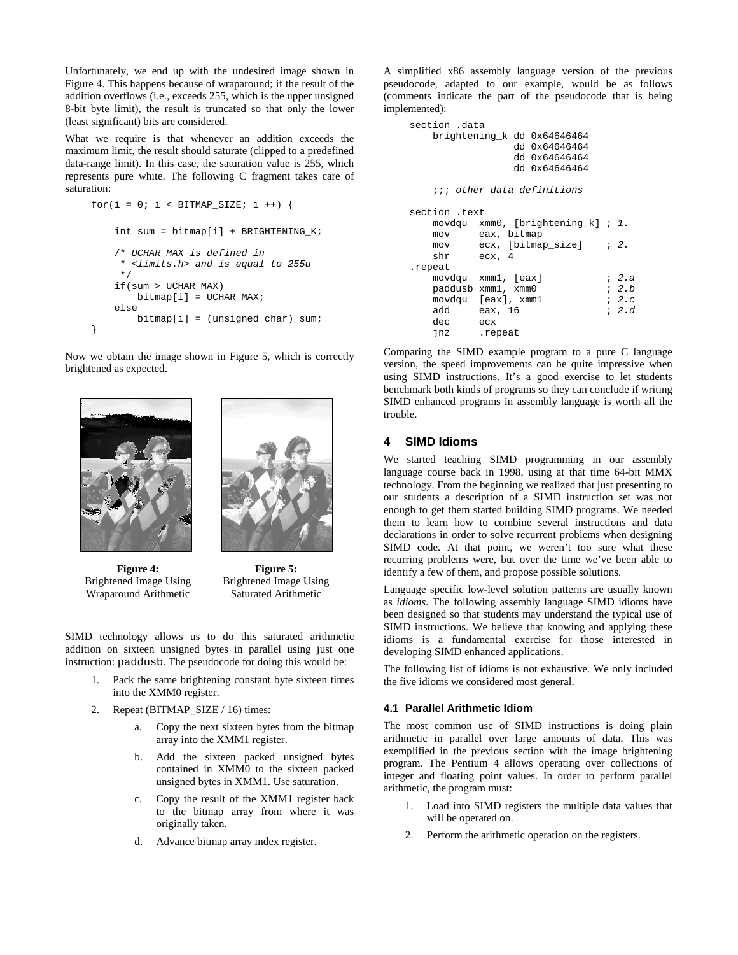Unfortunately, we end up with the undesired image shown in Figure 4. This happens because of wraparound; if the result of the addition overflows (i.e., exceeds 255, which is the upper unsigned 8-bit byte limit), the result is truncated so that only the lower (least significant) bits are considered.

What we require is that whenever an addition exceeds the maximum limit, the result should saturate (clipped to a predefined data-range limit). In this case, the saturation value is 255, which represents pure white. The following C fragment takes care of saturation:

```
for(i = 0; i < BITMAP_SIZE; i++)int sum = bitmap[i] + BRIGHTENING_K;
    /* UCHAR_MAX is defined in
     * <limits.h> and is equal to 255u
     */
    if(sum > UCHAR_MAX)
       bitmap[i] = UCHAR_MAX;
    else
       bitmap[i] = (unsigned char) sum;}
```
Now we obtain the image shown in Figure 5, which is correctly brightened as expected.





**Figure 4:** Brightened Image Using Wraparound Arithmetic

**Figure 5:** Brightened Image Using Saturated Arithmetic

SIMD technology allows us to do this saturated arithmetic addition on sixteen unsigned bytes in parallel using just one instruction: paddusb. The pseudocode for doing this would be:

- 1. Pack the same brightening constant byte sixteen times into the XMM0 register.
- 2. Repeat (BITMAP\_SIZE / 16) times:
	- a. Copy the next sixteen bytes from the bitmap array into the XMM1 register.
	- b. Add the sixteen packed unsigned bytes contained in XMM0 to the sixteen packed unsigned bytes in XMM1. Use saturation.
	- c. Copy the result of the XMM1 register back to the bitmap array from where it was originally taken.
	- d. Advance bitmap array index register.

A simplified x86 assembly language version of the previous pseudocode, adapted to our example, would be as follows (comments indicate the part of the pseudocode that is being implemented):

| section .data      | brightening k dd 0x64646464<br>dd 0x64646464<br>dd 0x64646464<br>dd 0x64646464 |  |               |
|--------------------|--------------------------------------------------------------------------------|--|---------------|
|                    | ;;; other data definitions                                                     |  |               |
| section .text      |                                                                                |  |               |
|                    | movdqu xmm0, [brightening_k]; 1.                                               |  |               |
|                    | mov eax, bitmap                                                                |  |               |
|                    | mov ecx, [bitmap_size] ; 2.                                                    |  |               |
| shr ecx, 4         |                                                                                |  |               |
| .repeat            |                                                                                |  |               |
|                    | movdgu xmm1, [eax]                                                             |  | ; 2.a         |
| paddusb xmm1, xmm0 |                                                                                |  | ; 2.b         |
| movdqu [eax], xmm1 |                                                                                |  | $i \quad 2.c$ |
| add eax, 16        |                                                                                |  | ; 2.d         |
| dec ecx            |                                                                                |  |               |
| inz repeat         |                                                                                |  |               |

Comparing the SIMD example program to a pure C language version, the speed improvements can be quite impressive when using SIMD instructions. It's a good exercise to let students benchmark both kinds of programs so they can conclude if writing SIMD enhanced programs in assembly language is worth all the trouble.

#### **4 SIMD Idioms**

We started teaching SIMD programming in our assembly language course back in 1998, using at that time 64-bit MMX technology. From the beginning we realized that just presenting to our students a description of a SIMD instruction set was not enough to get them started building SIMD programs. We needed them to learn how to combine several instructions and data declarations in order to solve recurrent problems when designing SIMD code. At that point, we weren't too sure what these recurring problems were, but over the time we've been able to identify a few of them, and propose possible solutions.

Language specific low-level solution patterns are usually known as *idioms*. The following assembly language SIMD idioms have been designed so that students may understand the typical use of SIMD instructions. We believe that knowing and applying these idioms is a fundamental exercise for those interested in developing SIMD enhanced applications.

The following list of idioms is not exhaustive. We only included the five idioms we considered most general.

#### **4.1 Parallel Arithmetic Idiom**

The most common use of SIMD instructions is doing plain arithmetic in parallel over large amounts of data. This was exemplified in the previous section with the image brightening program. The Pentium 4 allows operating over collections of integer and floating point values. In order to perform parallel arithmetic, the program must:

- 1. Load into SIMD registers the multiple data values that will be operated on.
- 2. Perform the arithmetic operation on the registers.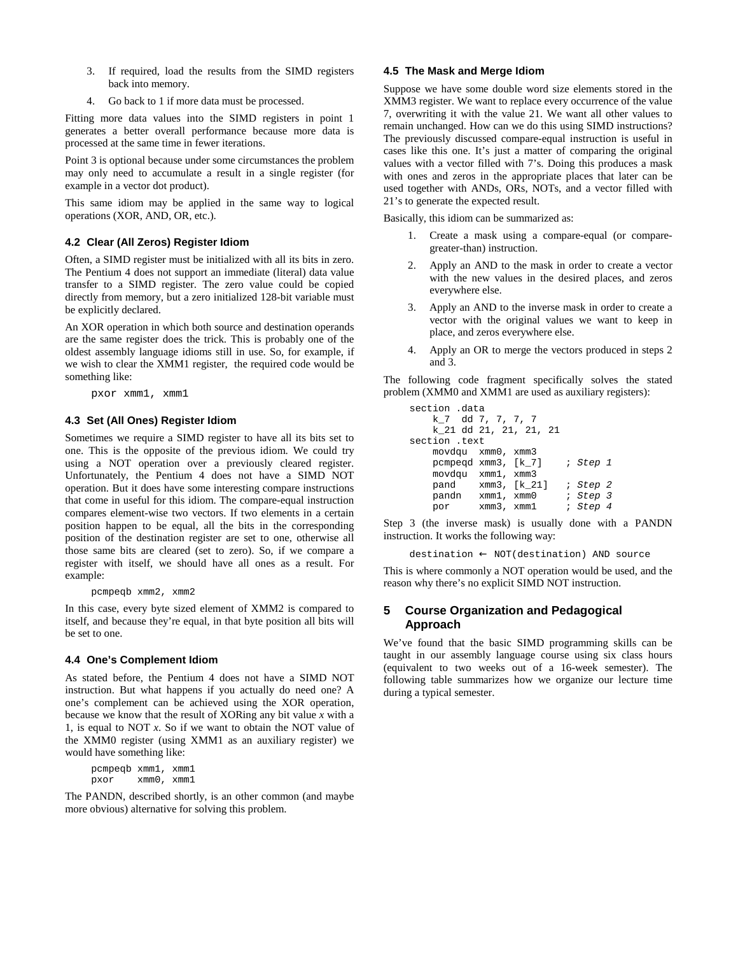- 3. If required, load the results from the SIMD registers back into memory.
- 4. Go back to 1 if more data must be processed.

Fitting more data values into the SIMD registers in point 1 generates a better overall performance because more data is processed at the same time in fewer iterations.

Point 3 is optional because under some circumstances the problem may only need to accumulate a result in a single register (for example in a vector dot product).

This same idiom may be applied in the same way to logical operations (XOR, AND, OR, etc.).

## **4.2 Clear (All Zeros) Register Idiom**

Often, a SIMD register must be initialized with all its bits in zero. The Pentium 4 does not support an immediate (literal) data value transfer to a SIMD register. The zero value could be copied directly from memory, but a zero initialized 128-bit variable must be explicitly declared.

An XOR operation in which both source and destination operands are the same register does the trick. This is probably one of the oldest assembly language idioms still in use. So, for example, if we wish to clear the XMM1 register, the required code would be something like:

pxor xmm1, xmm1

#### **4.3 Set (All Ones) Register Idiom**

Sometimes we require a SIMD register to have all its bits set to one. This is the opposite of the previous idiom. We could try using a NOT operation over a previously cleared register. Unfortunately, the Pentium 4 does not have a SIMD NOT operation. But it does have some interesting compare instructions that come in useful for this idiom. The compare-equal instruction compares element-wise two vectors. If two elements in a certain position happen to be equal, all the bits in the corresponding position of the destination register are set to one, otherwise all those same bits are cleared (set to zero). So, if we compare a register with itself, we should have all ones as a result. For example:

pcmpeqb xmm2, xmm2

In this case, every byte sized element of XMM2 is compared to itself, and because they're equal, in that byte position all bits will be set to one.

#### **4.4 One's Complement Idiom**

As stated before, the Pentium 4 does not have a SIMD NOT instruction. But what happens if you actually do need one? A one's complement can be achieved using the XOR operation, because we know that the result of XORing any bit value *x* with a 1, is equal to NOT *x*. So if we want to obtain the NOT value of the XMM0 register (using XMM1 as an auxiliary register) we would have something like:

pcmpeqb xmm1, xmm1 pxor xmm0, xmm1

The PANDN, described shortly, is an other common (and maybe more obvious) alternative for solving this problem.

#### **4.5 The Mask and Merge Idiom**

Suppose we have some double word size elements stored in the XMM3 register. We want to replace every occurrence of the value 7, overwriting it with the value 21. We want all other values to remain unchanged. How can we do this using SIMD instructions? The previously discussed compare-equal instruction is useful in cases like this one. It's just a matter of comparing the original values with a vector filled with 7's. Doing this produces a mask with ones and zeros in the appropriate places that later can be used together with ANDs, ORs, NOTs, and a vector filled with 21's to generate the expected result.

Basically, this idiom can be summarized as:

- 1. Create a mask using a compare-equal (or comparegreater-than) instruction.
- 2. Apply an AND to the mask in order to create a vector with the new values in the desired places, and zeros everywhere else.
- 3. Apply an AND to the inverse mask in order to create a vector with the original values we want to keep in place, and zeros everywhere else.
- 4. Apply an OR to merge the vectors produced in steps 2 and 3.

The following code fragment specifically solves the stated problem (XMM0 and XMM1 are used as auxiliary registers):

```
section .data
   k_7 dd 7, 7, 7, 7
   k_21 dd 21, 21, 21, 21
section .text
    movdqu xmm0, xmm3
   pcmpeqd xmm3, [k_7] ; Step 1
   movdqu xmm1, xmm3<br>pand xmm3. [k 2]
            pand xmm3, [k_21] ; Step 2
    pandn xmm1, xmm0 ; Step 3
   por xmm3, xmm1 ; Step 4
```
Step 3 (the inverse mask) is usually done with a PANDN instruction. It works the following way:

destination ← NOT(destination) AND source

This is where commonly a NOT operation would be used, and the reason why there's no explicit SIMD NOT instruction.

## **5 Course Organization and Pedagogical Approach**

We've found that the basic SIMD programming skills can be taught in our assembly language course using six class hours (equivalent to two weeks out of a 16-week semester). The following table summarizes how we organize our lecture time during a typical semester.